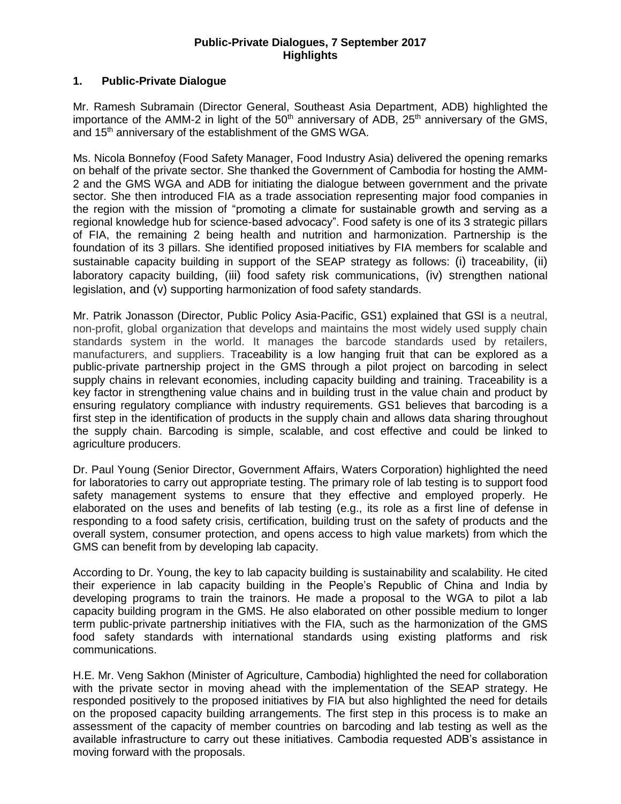## **Public-Private Dialogues, 7 September 2017 Highlights**

## **1. Public-Private Dialogue**

Mr. Ramesh Subramain (Director General, Southeast Asia Department, ADB) highlighted the importance of the AMM-2 in light of the  $50<sup>th</sup>$  anniversary of ADB,  $25<sup>th</sup>$  anniversary of the GMS, and 15<sup>th</sup> anniversary of the establishment of the GMS WGA.

Ms. Nicola Bonnefoy (Food Safety Manager, Food Industry Asia) delivered the opening remarks on behalf of the private sector. She thanked the Government of Cambodia for hosting the AMM-2 and the GMS WGA and ADB for initiating the dialogue between government and the private sector. She then introduced FIA as a trade association representing major food companies in the region with the mission of "promoting a climate for sustainable growth and serving as a regional knowledge hub for science-based advocacy". Food safety is one of its 3 strategic pillars of FIA, the remaining 2 being health and nutrition and harmonization. Partnership is the foundation of its 3 pillars. She identified proposed initiatives by FIA members for scalable and sustainable capacity building in support of the SEAP strategy as follows: (i) traceability, (ii) laboratory capacity building, (iii) food safety risk communications, (iv) strengthen national legislation, and (v) supporting harmonization of food safety standards.

Mr. Patrik Jonasson (Director, Public Policy Asia-Pacific, GS1) explained that GSI is a neutral, non-profit, global organization that develops and maintains the most widely used supply chain standards system in the world. It manages the barcode standards used by retailers, manufacturers, and suppliers. Traceability is a low hanging fruit that can be explored as a public-private partnership project in the GMS through a pilot project on barcoding in select supply chains in relevant economies, including capacity building and training. Traceability is a key factor in strengthening value chains and in building trust in the value chain and product by ensuring regulatory compliance with industry requirements. GS1 believes that barcoding is a first step in the identification of products in the supply chain and allows data sharing throughout the supply chain. Barcoding is simple, scalable, and cost effective and could be linked to agriculture producers.

Dr. Paul Young (Senior Director, Government Affairs, Waters Corporation) highlighted the need for laboratories to carry out appropriate testing. The primary role of lab testing is to support food safety management systems to ensure that they effective and employed properly. He elaborated on the uses and benefits of lab testing (e.g., its role as a first line of defense in responding to a food safety crisis, certification, building trust on the safety of products and the overall system, consumer protection, and opens access to high value markets) from which the GMS can benefit from by developing lab capacity.

According to Dr. Young, the key to lab capacity building is sustainability and scalability. He cited their experience in lab capacity building in the People's Republic of China and India by developing programs to train the trainors. He made a proposal to the WGA to pilot a lab capacity building program in the GMS. He also elaborated on other possible medium to longer term public-private partnership initiatives with the FIA, such as the harmonization of the GMS food safety standards with international standards using existing platforms and risk communications.

H.E. Mr. Veng Sakhon (Minister of Agriculture, Cambodia) highlighted the need for collaboration with the private sector in moving ahead with the implementation of the SEAP strategy. He responded positively to the proposed initiatives by FIA but also highlighted the need for details on the proposed capacity building arrangements. The first step in this process is to make an assessment of the capacity of member countries on barcoding and lab testing as well as the available infrastructure to carry out these initiatives. Cambodia requested ADB's assistance in moving forward with the proposals.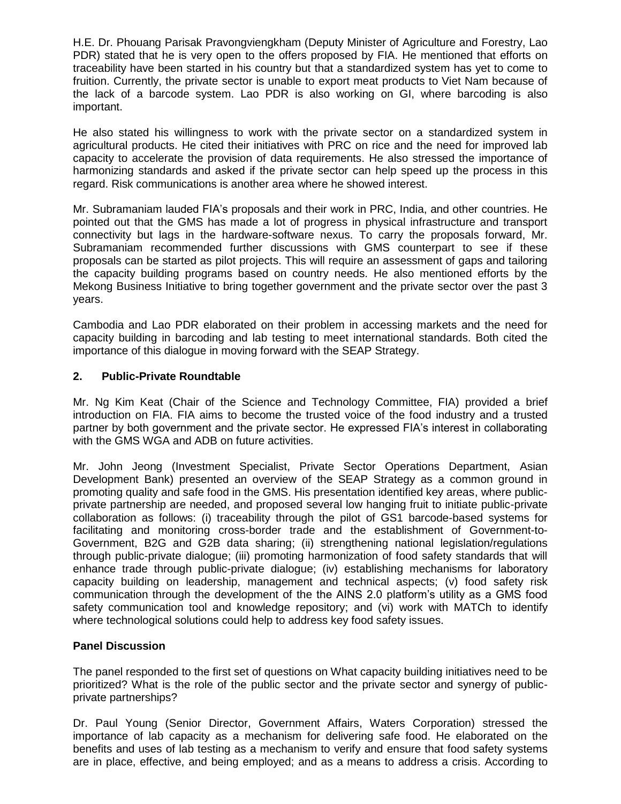H.E. Dr. Phouang Parisak Pravongviengkham (Deputy Minister of Agriculture and Forestry, Lao PDR) stated that he is very open to the offers proposed by FIA. He mentioned that efforts on traceability have been started in his country but that a standardized system has yet to come to fruition. Currently, the private sector is unable to export meat products to Viet Nam because of the lack of a barcode system. Lao PDR is also working on GI, where barcoding is also important.

He also stated his willingness to work with the private sector on a standardized system in agricultural products. He cited their initiatives with PRC on rice and the need for improved lab capacity to accelerate the provision of data requirements. He also stressed the importance of harmonizing standards and asked if the private sector can help speed up the process in this regard. Risk communications is another area where he showed interest.

Mr. Subramaniam lauded FIA's proposals and their work in PRC, India, and other countries. He pointed out that the GMS has made a lot of progress in physical infrastructure and transport connectivity but lags in the hardware-software nexus. To carry the proposals forward, Mr. Subramaniam recommended further discussions with GMS counterpart to see if these proposals can be started as pilot projects. This will require an assessment of gaps and tailoring the capacity building programs based on country needs. He also mentioned efforts by the Mekong Business Initiative to bring together government and the private sector over the past 3 years.

Cambodia and Lao PDR elaborated on their problem in accessing markets and the need for capacity building in barcoding and lab testing to meet international standards. Both cited the importance of this dialogue in moving forward with the SEAP Strategy.

# **2. Public-Private Roundtable**

Mr. Ng Kim Keat (Chair of the Science and Technology Committee, FIA) provided a brief introduction on FIA. FIA aims to become the trusted voice of the food industry and a trusted partner by both government and the private sector. He expressed FIA's interest in collaborating with the GMS WGA and ADB on future activities.

Mr. John Jeong (Investment Specialist, Private Sector Operations Department, Asian Development Bank) presented an overview of the SEAP Strategy as a common ground in promoting quality and safe food in the GMS. His presentation identified key areas, where publicprivate partnership are needed, and proposed several low hanging fruit to initiate public-private collaboration as follows: (i) traceability through the pilot of GS1 barcode-based systems for facilitating and monitoring cross-border trade and the establishment of Government-to-Government, B2G and G2B data sharing; (ii) strengthening national legislation/regulations through public-private dialogue; (iii) promoting harmonization of food safety standards that will enhance trade through public-private dialogue; (iv) establishing mechanisms for laboratory capacity building on leadership, management and technical aspects; (v) food safety risk communication through the development of the the AINS 2.0 platform's utility as a GMS food safety communication tool and knowledge repository; and (vi) work with MATCh to identify where technological solutions could help to address key food safety issues.

# **Panel Discussion**

The panel responded to the first set of questions on What capacity building initiatives need to be prioritized? What is the role of the public sector and the private sector and synergy of publicprivate partnerships?

Dr. Paul Young (Senior Director, Government Affairs, Waters Corporation) stressed the importance of lab capacity as a mechanism for delivering safe food. He elaborated on the benefits and uses of lab testing as a mechanism to verify and ensure that food safety systems are in place, effective, and being employed; and as a means to address a crisis. According to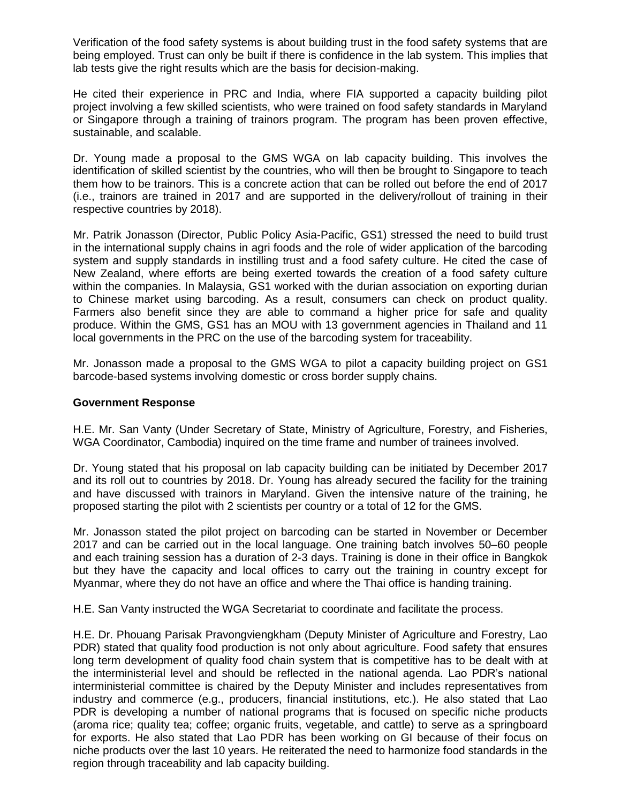Verification of the food safety systems is about building trust in the food safety systems that are being employed. Trust can only be built if there is confidence in the lab system. This implies that lab tests give the right results which are the basis for decision-making.

He cited their experience in PRC and India, where FIA supported a capacity building pilot project involving a few skilled scientists, who were trained on food safety standards in Maryland or Singapore through a training of trainors program. The program has been proven effective, sustainable, and scalable.

Dr. Young made a proposal to the GMS WGA on lab capacity building. This involves the identification of skilled scientist by the countries, who will then be brought to Singapore to teach them how to be trainors. This is a concrete action that can be rolled out before the end of 2017 (i.e., trainors are trained in 2017 and are supported in the delivery/rollout of training in their respective countries by 2018).

Mr. Patrik Jonasson (Director, Public Policy Asia-Pacific, GS1) stressed the need to build trust in the international supply chains in agri foods and the role of wider application of the barcoding system and supply standards in instilling trust and a food safety culture. He cited the case of New Zealand, where efforts are being exerted towards the creation of a food safety culture within the companies. In Malaysia, GS1 worked with the durian association on exporting durian to Chinese market using barcoding. As a result, consumers can check on product quality. Farmers also benefit since they are able to command a higher price for safe and quality produce. Within the GMS, GS1 has an MOU with 13 government agencies in Thailand and 11 local governments in the PRC on the use of the barcoding system for traceability.

Mr. Jonasson made a proposal to the GMS WGA to pilot a capacity building project on GS1 barcode-based systems involving domestic or cross border supply chains.

#### **Government Response**

H.E. Mr. San Vanty (Under Secretary of State, Ministry of Agriculture, Forestry, and Fisheries, WGA Coordinator, Cambodia) inquired on the time frame and number of trainees involved.

Dr. Young stated that his proposal on lab capacity building can be initiated by December 2017 and its roll out to countries by 2018. Dr. Young has already secured the facility for the training and have discussed with trainors in Maryland. Given the intensive nature of the training, he proposed starting the pilot with 2 scientists per country or a total of 12 for the GMS.

Mr. Jonasson stated the pilot project on barcoding can be started in November or December 2017 and can be carried out in the local language. One training batch involves 50–60 people and each training session has a duration of 2-3 days. Training is done in their office in Bangkok but they have the capacity and local offices to carry out the training in country except for Myanmar, where they do not have an office and where the Thai office is handing training.

H.E. San Vanty instructed the WGA Secretariat to coordinate and facilitate the process.

H.E. Dr. Phouang Parisak Pravongviengkham (Deputy Minister of Agriculture and Forestry, Lao PDR) stated that quality food production is not only about agriculture. Food safety that ensures long term development of quality food chain system that is competitive has to be dealt with at the interministerial level and should be reflected in the national agenda. Lao PDR's national interministerial committee is chaired by the Deputy Minister and includes representatives from industry and commerce (e.g., producers, financial institutions, etc.). He also stated that Lao PDR is developing a number of national programs that is focused on specific niche products (aroma rice; quality tea; coffee; organic fruits, vegetable, and cattle) to serve as a springboard for exports. He also stated that Lao PDR has been working on GI because of their focus on niche products over the last 10 years. He reiterated the need to harmonize food standards in the region through traceability and lab capacity building.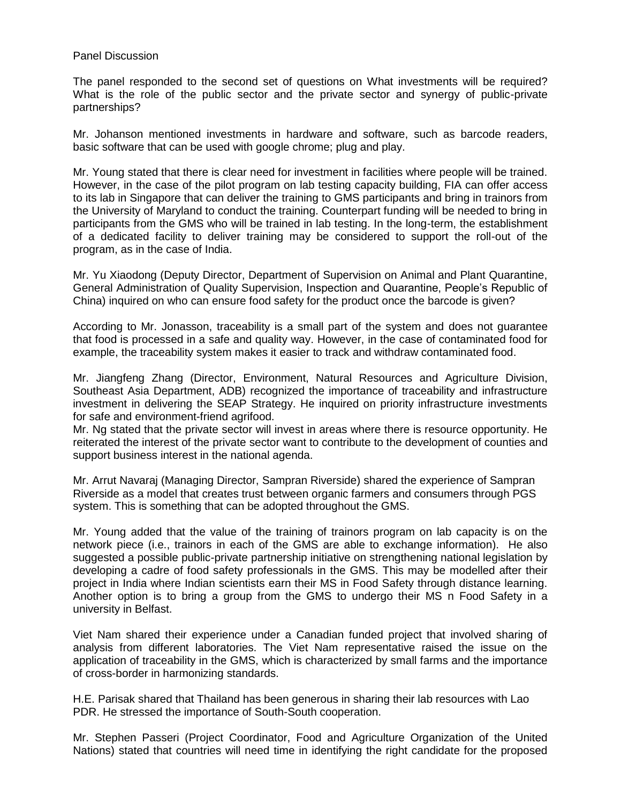#### Panel Discussion

The panel responded to the second set of questions on What investments will be required? What is the role of the public sector and the private sector and synergy of public-private partnerships?

Mr. Johanson mentioned investments in hardware and software, such as barcode readers, basic software that can be used with google chrome; plug and play.

Mr. Young stated that there is clear need for investment in facilities where people will be trained. However, in the case of the pilot program on lab testing capacity building, FIA can offer access to its lab in Singapore that can deliver the training to GMS participants and bring in trainors from the University of Maryland to conduct the training. Counterpart funding will be needed to bring in participants from the GMS who will be trained in lab testing. In the long-term, the establishment of a dedicated facility to deliver training may be considered to support the roll-out of the program, as in the case of India.

Mr. Yu Xiaodong (Deputy Director, Department of Supervision on Animal and Plant Quarantine, General Administration of Quality Supervision, Inspection and Quarantine, People's Republic of China) inquired on who can ensure food safety for the product once the barcode is given?

According to Mr. Jonasson, traceability is a small part of the system and does not guarantee that food is processed in a safe and quality way. However, in the case of contaminated food for example, the traceability system makes it easier to track and withdraw contaminated food.

Mr. Jiangfeng Zhang (Director, Environment, Natural Resources and Agriculture Division, Southeast Asia Department, ADB) recognized the importance of traceability and infrastructure investment in delivering the SEAP Strategy. He inquired on priority infrastructure investments for safe and environment-friend agrifood.

Mr. Ng stated that the private sector will invest in areas where there is resource opportunity. He reiterated the interest of the private sector want to contribute to the development of counties and support business interest in the national agenda.

Mr. Arrut Navaraj (Managing Director, Sampran Riverside) shared the experience of Sampran Riverside as a model that creates trust between organic farmers and consumers through PGS system. This is something that can be adopted throughout the GMS.

Mr. Young added that the value of the training of trainors program on lab capacity is on the network piece (i.e., trainors in each of the GMS are able to exchange information). He also suggested a possible public-private partnership initiative on strengthening national legislation by developing a cadre of food safety professionals in the GMS. This may be modelled after their project in India where Indian scientists earn their MS in Food Safety through distance learning. Another option is to bring a group from the GMS to undergo their MS n Food Safety in a university in Belfast.

Viet Nam shared their experience under a Canadian funded project that involved sharing of analysis from different laboratories. The Viet Nam representative raised the issue on the application of traceability in the GMS, which is characterized by small farms and the importance of cross-border in harmonizing standards.

H.E. Parisak shared that Thailand has been generous in sharing their lab resources with Lao PDR. He stressed the importance of South-South cooperation.

Mr. Stephen Passeri (Project Coordinator, Food and Agriculture Organization of the United Nations) stated that countries will need time in identifying the right candidate for the proposed